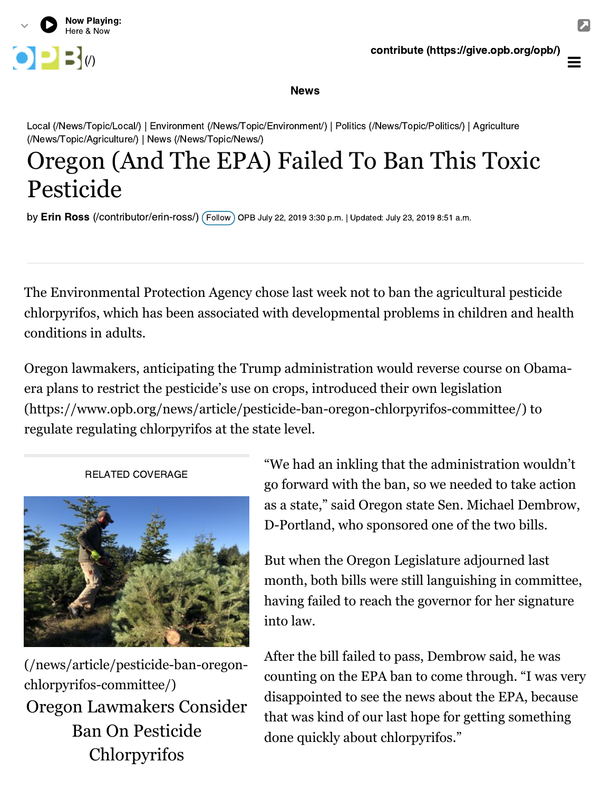

**News** 

[Local \(/News/Topic/Local/\) | Environment \(/News/Topic/Environment/\) | Politics \(/News/Topic/Politics/\) | Agriculture](https://www.opb.org/news/topic/agriculture/) (/News/Topic/Agriculture/) | [News \(/News/Topic/News/\)](https://www.opb.org/news/topic/news/)

# Oregon (And The EPA) Failed To Ban This Toxic Pesticide

by**Erin Ross** [\(/contributor/erin-ross/\)](https://www.opb.org/contributor/erin-ross/) ( Follow ) OPB July 22, 2019 3:30 p.m. | Updated: July 23, 2019 8:51 a.m.<br>.

The Environmental Protection Agency chose last week not to ban the agricultural pesticide chlorpyrifos, which has been associated with developmental problems in children and health conditions in adults.

Oregon lawmakers, anticipating the Trump administration would reverse course on Obamaera plans to restrict the pesticide's use on crops, introduced their own legislation [\(https://www.opb.org/news/article/pesticide-ban-oregon-chlorpyrifos-committee/\)](https://www.opb.org/news/article/pesticide-ban-oregon-chlorpyrifos-committee/) to regulate regulating chlorpyrifos at the state level.

#### RELATED COVERAGE



[\(/news/article/pesticide-ban-oregon](https://www.opb.org/news/article/pesticide-ban-oregon-chlorpyrifos-committee/)chlorpyrifos-committee/) [Oregon Lawmakers Consider](https://www.opb.org/news/article/pesticide-ban-oregon-chlorpyrifos-committee/) Ban On Pesticide Chlorpyrifos

"We had an inkling that the administration wouldn't go forward with the ban, so we needed to take action as a state," said Oregon state Sen. Michael Dembrow, D-Portland, who sponsored one of the two bills.

But when the Oregon Legislature adjourned last month, both bills were still languishing in committee, having failed to reach the governor for her signature into law.

After the bill failed to pass, Dembrow said, he was counting on the EPA ban to come through. "I was very disappointed to see the news about the EPA, because that was kind of our last hope for getting something done quickly about chlorpyrifos."

 $\equiv$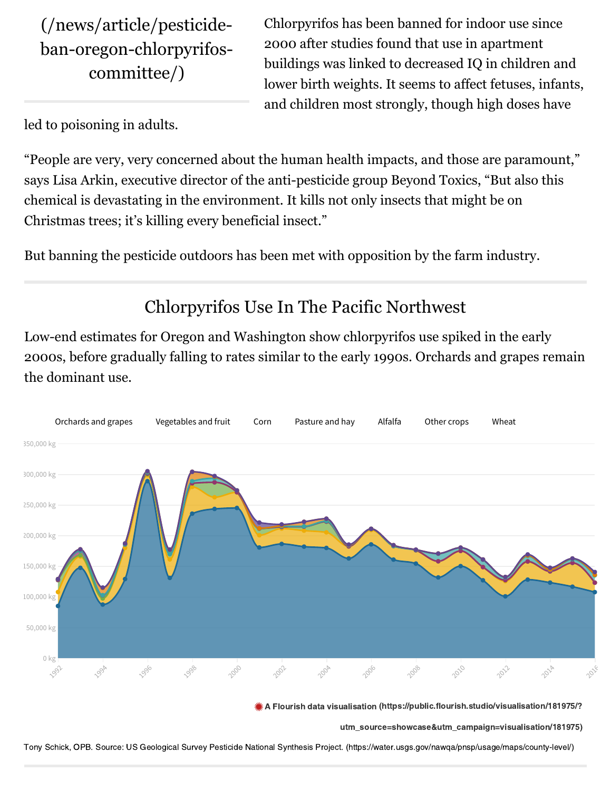(/news/article/pesticide[ban-oregon-chlorpyrifos](https://www.opb.org/news/article/pesticide-ban-oregon-chlorpyrifos-committee/)committee/)

Chlorpyrifos has been banned for indoor use since 2000 after studies found that use in apartment buildings was linked to decreased IQ in children and lower birth weights. It seems to affect fetuses, infants, and children most strongly, though high doses have

led to poisoning in adults.

"People are very, very concerned about the human health impacts, and those are paramount," says Lisa Arkin, executive director of the anti-pesticide group Beyond Toxics, "But also this chemical is devastating in the environment. It kills not only insects that might be on Christmas trees; it's killing every beneficial insect."

But banning the pesticide outdoors has been met with opposition by the farm industry.

## Chlorpyrifos Use In The Pacific Northwest

Low-end estimates for Oregon and Washington show chlorpyrifos use spiked in the early 2000s, before gradually falling to rates similar to the early 1990s. Orchards and grapes remain the dominant use.



 $A$  Flowritish data visualisation (https://public.flowritis.flowritis.flowritish.studio/visualisation/181975/?

 $\mathbb{Z}$ s showcase $\mathbb{Z}$ ntmasign=visualisation/1819775)

Tony Schick, OPB. Source: US Geological Survey [Pesticide National Synthesis Project. \(https://water.usgs.gov/nawqa/pnsp/usage/maps/county-level/\)](https://water.usgs.gov/nawqa/pnsp/usage/maps/county-level/)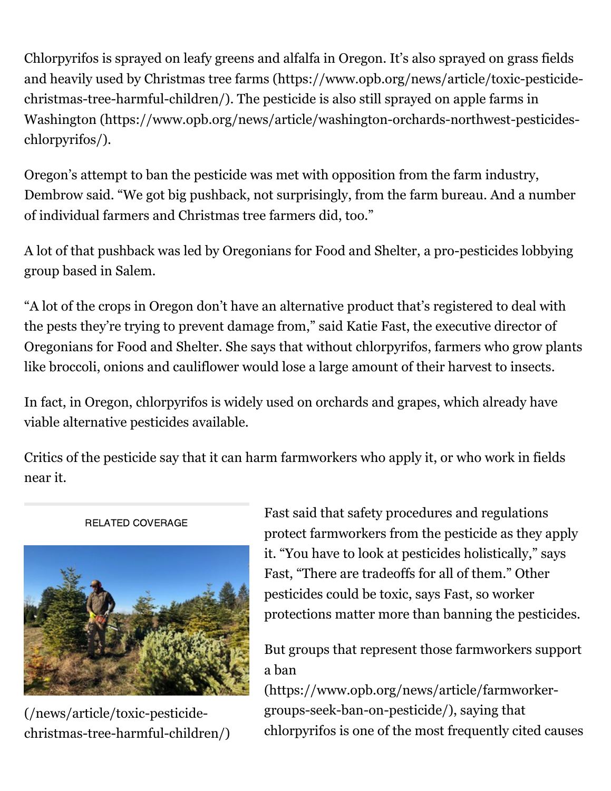Chlorpyrifos is sprayed on leafy greens and alfalfa in Oregon. It's also sprayed on grass fields [and heavily used by Christmas tree farms \(https://www.opb.org/news/article/toxic-pesticide](https://www.opb.org/news/article/toxic-pesticide-christmas-tree-harmful-children/)christmas-tree-harmful-children/). The pesticide is also still sprayed on apple farms in [Washington \(https://www.opb.org/news/article/washington-orchards-northwest-pesticides](https://www.opb.org/news/article/washington-orchards-northwest-pesticides-chlorpyrifos/)chlorpyrifos/).

Oregon's attempt to ban the pesticide was met with opposition from the farm industry, Dembrow said. "We got big pushback, not surprisingly, from the farm bureau. And a number of individual farmers and Christmas tree farmers did, too."

A lot of that pushback was led by Oregonians for Food and Shelter, a pro-pesticides lobbying group based in Salem.

"A lot of the crops in Oregon don't have an alternative product that's registered to deal with the pests they're trying to prevent damage from," said Katie Fast, the executive director of Oregonians for Food and Shelter. She says that without chlorpyrifos, farmers who grow plants like broccoli, onions and cauliflower would lose a large amount of their harvest to insects.

In fact, in Oregon, chlorpyrifos is widely used on orchards and grapes, which already have viable alternative pesticides available.

Critics of the pesticide say that it can harm farmworkers who apply it, or who work in fields near it.



RELATED COVERAGE

(/news/article/toxic-pesticide[christmas-tree-harmful-children/\)](https://www.opb.org/news/article/toxic-pesticide-christmas-tree-harmful-children/)

Fast said that safety procedures and regulations protect farmworkers from the pesticide as they apply it. "You have to look at pesticides holistically," says Fast, "There are tradeoffs for all of them." Other pesticides could be toxic, says Fast, so worker protections matter more than banning the pesticides.

[But groups that represent those farmworkers support](https://www.opb.org/news/article/farmworker-groups-seek-ban-on-pesticide/) a ban

(https://www.opb.org/news/article/farmworkergroups-seek-ban-on-pesticide/), saying that chlorpyrifos is one of the most frequently cited causes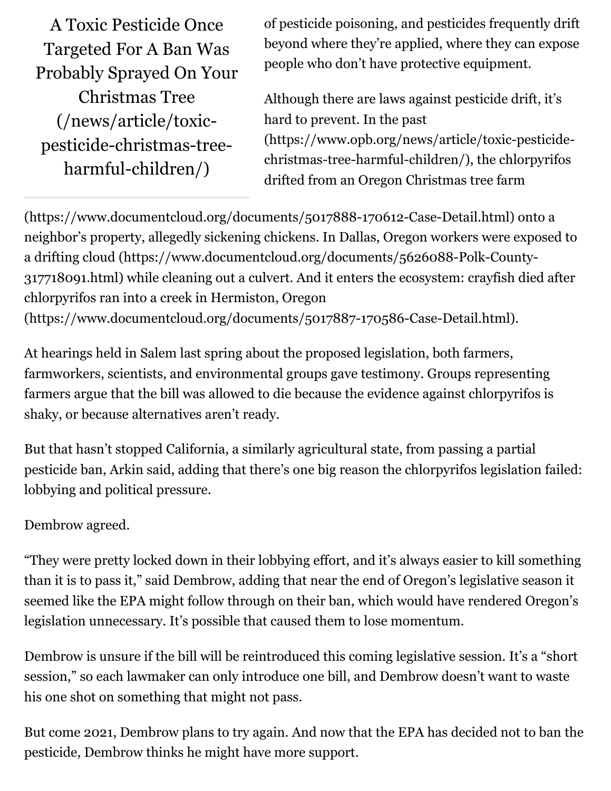A Toxic Pesticide Once Targeted For A Ban Was [Probably Sprayed On Your](https://www.opb.org/news/article/toxic-pesticide-christmas-tree-harmful-children/) Christmas Tree (/news/article/toxicpesticide-christmas-treeharmful-children/)

of pesticide poisoning, and pesticides frequently drift beyond where they're applied, where they can expose people who don't have protective equipment.

Although there are laws against pesticide drift, it's hard to prevent. In the past [\(https://www.opb.org/news/article/toxic-pesticide](https://www.opb.org/news/article/toxic-pesticide-christmas-tree-harmful-children/)christmas-tree-harmful-children/), the chlorpyrifos drifted from an Oregon Christmas tree farm

[\(https://www.documentcloud.org/documents/5017888-170612-Case-Detail.html\) o](https://www.documentcloud.org/documents/5017888-170612-Case-Detail.html)nto a [neighbor's property, allegedly sickening chickens. In Dallas, Oregon workers were exposed to](https://www.documentcloud.org/documents/5626088-Polk-County-317718091.html) a drifting cloud (https://www.documentcloud.org/documents/5626088-Polk-County-317718091.html) while cleaning out a culvert. And it enters the ecosystem: crayfish died after chlorpyrifos ran into a creek in Hermiston, Oregon [\(https://www.documentcloud.org/documents/5017887-170586-Case-Detail.html\).](https://www.documentcloud.org/documents/5017887-170586-Case-Detail.html)

At hearings held in Salem last spring about the proposed legislation, both farmers, farmworkers, scientists, and environmental groups gave testimony. Groups representing farmers argue that the bill was allowed to die because the evidence against chlorpyrifos is shaky, or because alternatives aren't ready.

But that hasn't stopped California, a similarly agricultural state, from passing a partial pesticide ban, Arkin said, adding that there's one big reason the chlorpyrifos legislation failed: lobbying and political pressure.

#### Dembrow agreed.

"They were pretty locked down in their lobbying effort, and it's always easier to kill something than it is to pass it," said Dembrow, adding that near the end of Oregon's legislative season it seemed like the EPA might follow through on their ban, which would have rendered Oregon's legislation unnecessary. It's possible that caused them to lose momentum.

Dembrow is unsure if the bill will be reintroduced this coming legislative session. It's a "short session," so each lawmaker can only introduce one bill, and Dembrow doesn't want to waste his one shot on something that might not pass.

But come 2021, Dembrow plans to try again. And now that the EPA has decided not to ban the pesticide, Dembrow thinks he might have more support.